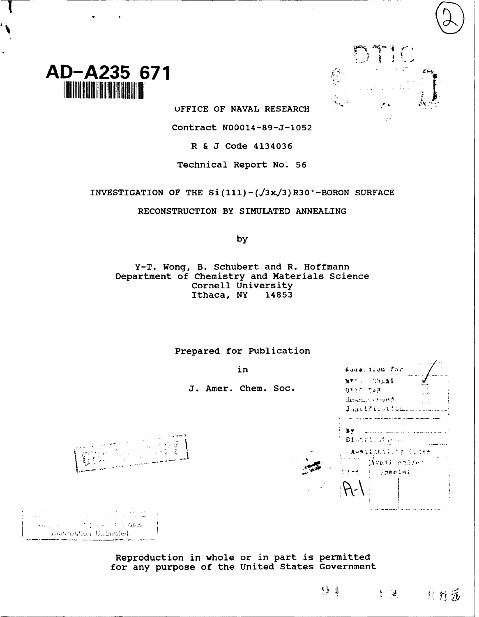



UFFICE OF NAVAL RESEARCH

Contract N00014-89-J-1052

R & J Code 4134036

Technical Report No. 56

INVESTIGATION OF THE Si(111) -  $(\sqrt{3}x/3)R30°$  -BORON SURFACE

RECONSTRUCTION BY SIMULATED ANNEALING

by

Y-T. Wong, B. Schubert and R. Hoffmann Department of Chemistry and Materials Science Cornell University<br>Ithaca, NY 14853 Ithaca, NY

Prepared for Publication

J. Amer. Chem. Soc.

| in         | Asuersion for                                               |
|------------|-------------------------------------------------------------|
| Chem. Soc. | MT WALL<br>DYIS TAR<br>Unani Uvroed<br>ŗ.<br>Justification. |
|            | Districutions                                               |
|            | Aveilability deser<br>Avail ensier<br>Dist ( Special        |
|            |                                                             |

متحد والمطالبين المنادرة

 $\frac{1}{2}$   $\frac{1}{2}$   $\frac{1}{2}$ 

- 其姓感

र ३ ∯



ng salah tebrasa) Dastribution Unlimited

Reproduction in whole or in part is permitted for any purpose of the United States Government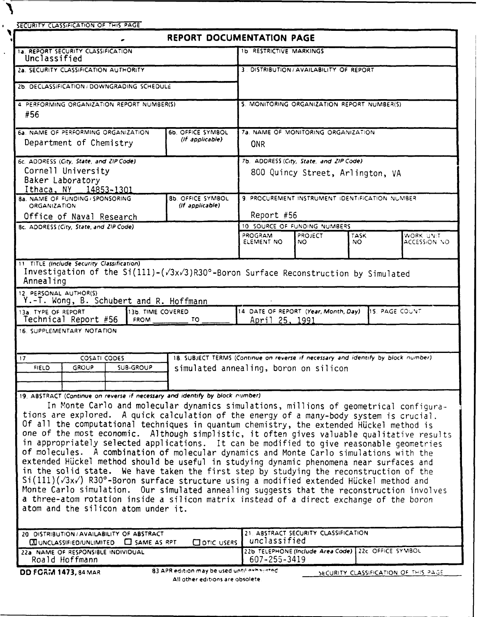$\mathbf{V}$ 

| SECURITY CLASSIFICATION OF THIS PAGE                                                                                                                                                                                                                                 |                                                                                    |                                                                                      |                                     |                                  |                           |
|----------------------------------------------------------------------------------------------------------------------------------------------------------------------------------------------------------------------------------------------------------------------|------------------------------------------------------------------------------------|--------------------------------------------------------------------------------------|-------------------------------------|----------------------------------|---------------------------|
|                                                                                                                                                                                                                                                                      | REPORT DOCUMENTATION PAGE                                                          |                                                                                      |                                     |                                  |                           |
| <b>1a. REPORT SECURITY CLASSIFICATION</b><br>Unclassified                                                                                                                                                                                                            |                                                                                    | <b>1b RESTRICTIVE MARKINGS</b>                                                       |                                     |                                  |                           |
| 2a. SECURITY CLASSIFICATION AUTHORITY                                                                                                                                                                                                                                |                                                                                    | 3. DISTRIBUTION / AVAILABILITY OF REPORT                                             |                                     |                                  |                           |
| 2b. DECLASSIFICATION / DOWNGRADING SCHEDULE                                                                                                                                                                                                                          |                                                                                    |                                                                                      |                                     |                                  |                           |
| 4. PERFORMING ORGANIZATION REPORT NUMBER(S)                                                                                                                                                                                                                          |                                                                                    | 5. MONITORING ORGANIZATION REPORT NUMBER(S)                                          |                                     |                                  |                           |
| #56                                                                                                                                                                                                                                                                  |                                                                                    |                                                                                      |                                     |                                  |                           |
| 6a. NAME OF PERFORMING ORGANIZATION                                                                                                                                                                                                                                  | 6b. OFFICE SYMBOL                                                                  |                                                                                      | 7a. NAME OF MONITORING ORGANIZATION |                                  |                           |
| Department of Chemistry                                                                                                                                                                                                                                              | (If applicable)                                                                    | <b>ONR</b>                                                                           |                                     |                                  |                           |
| 6c. ADDRESS (City, State, and ZIP Code)                                                                                                                                                                                                                              |                                                                                    | 7b. ADDRESS (City, State, and ZIP Code).                                             |                                     |                                  |                           |
| Cornell University<br>Baker Laboratory                                                                                                                                                                                                                               |                                                                                    |                                                                                      |                                     | 800 Quincy Street, Arlington, VA |                           |
| Ithaca, NY 14853-1301<br>8a. NAME OF FUNDING / SPONSORING                                                                                                                                                                                                            | 8b. OFFICE SYMBOL                                                                  | 9. PROCUREMENT INSTRUMENT IDENTIFICATION NUMBER                                      |                                     |                                  |                           |
| <b>ORGANIZATION</b><br>Office of Naval Research                                                                                                                                                                                                                      | (If applicable)                                                                    | Report #56                                                                           |                                     |                                  |                           |
| 8c. ADDRESS (City, State, and ZIP Code)                                                                                                                                                                                                                              |                                                                                    | 10. SOURCE OF FUNDING NUMBERS                                                        |                                     |                                  |                           |
|                                                                                                                                                                                                                                                                      |                                                                                    | PROGRAM<br>ELEMENT NO                                                                | PROJECT<br>NO.                      | TASK<br>NO.                      | WORK UNIT<br>ACCESSION NO |
|                                                                                                                                                                                                                                                                      |                                                                                    |                                                                                      |                                     |                                  |                           |
| Annealing<br>Y.-T. Wong, B. Schubert and R. Hoffmann<br>13b. TIME COVERED<br>Technical Report #56<br><b>FROM</b>                                                                                                                                                     | TO.                                                                                | 14 DATE OF REPORT (Year, Month, Day)<br>April 25, 1991                               |                                     |                                  | 15. PAGE COUNT            |
| 12. PERSONAL AUTHOR(S)<br>13a. TYPE OF REPORT                                                                                                                                                                                                                        |                                                                                    |                                                                                      |                                     |                                  |                           |
| <b>COSATI CODES</b>                                                                                                                                                                                                                                                  | 18. SUBJECT TERMS (Continue on reverse if necessary and identify by block number). |                                                                                      |                                     |                                  |                           |
| GROUP<br><b>SUB-GROUP</b><br><b>FIELD</b>                                                                                                                                                                                                                            | simulated annealing, boron on silicon                                              |                                                                                      |                                     |                                  |                           |
| 16. SUPPLEMENTARY NOTATION<br>17                                                                                                                                                                                                                                     |                                                                                    |                                                                                      |                                     |                                  |                           |
|                                                                                                                                                                                                                                                                      |                                                                                    |                                                                                      |                                     |                                  |                           |
| In Monte Carlo and molecular dynamics simulations, millions of geometrical configura-                                                                                                                                                                                |                                                                                    |                                                                                      |                                     |                                  |                           |
| tions are explored. A quick calculation of the energy of a many-body system is crucial.                                                                                                                                                                              |                                                                                    |                                                                                      |                                     |                                  |                           |
| Of all the computational techniques in quantum chemistry, the extended Hückel method is<br>one of the most economic. Although simplistic, it often gives valuable qualitative results                                                                                |                                                                                    |                                                                                      |                                     |                                  |                           |
| in appropriately selected applications. It can be modified to give reasonable geometries                                                                                                                                                                             |                                                                                    |                                                                                      |                                     |                                  |                           |
| of molecules. A combination of molecular dynamics and Monte Carlo simulations with the<br>extended Hückel method should be useful in studying dynamic phenomena near surfaces and                                                                                    |                                                                                    |                                                                                      |                                     |                                  |                           |
| in the solid state. We have taken the first step by studying the reconstruction of the                                                                                                                                                                               |                                                                                    |                                                                                      |                                     |                                  |                           |
| Si(111)(/3x/) R30°-Boron surface structure using a modified extended Hückel method and                                                                                                                                                                               |                                                                                    |                                                                                      |                                     |                                  |                           |
| 19. ABSTRACT (Continue on reverse if necessary and identify by block number)<br>Monte Carlo simulation. Our simulated annealing suggests that the reconstruction involves<br>a three-atom rotation inside a silicon matrix instead of a direct exchange of the boron |                                                                                    |                                                                                      |                                     |                                  |                           |
| atom and the silicon atom under it.                                                                                                                                                                                                                                  |                                                                                    |                                                                                      |                                     |                                  |                           |
| 20 DISTRIBUTION / AVAILABILITY OF ABSTRACT                                                                                                                                                                                                                           |                                                                                    | 21. ABSTRACT SECURITY CLASSIFICATION                                                 |                                     |                                  |                           |
| $\boxtimes$ UNCLASSIFIED/UNLIMITED $\Box$ SAME AS RPT.<br>22a NAME OF RESPONSIBLE INDIVIDUAL<br>Roald Hoffmann                                                                                                                                                       | ODTIC USERS                                                                        | unclassified<br>22b TELEPHONE (Include Area Code) 22c. OFFICE SYMBOL<br>607-255-3419 |                                     |                                  |                           |

**All** other **editions are** obsolete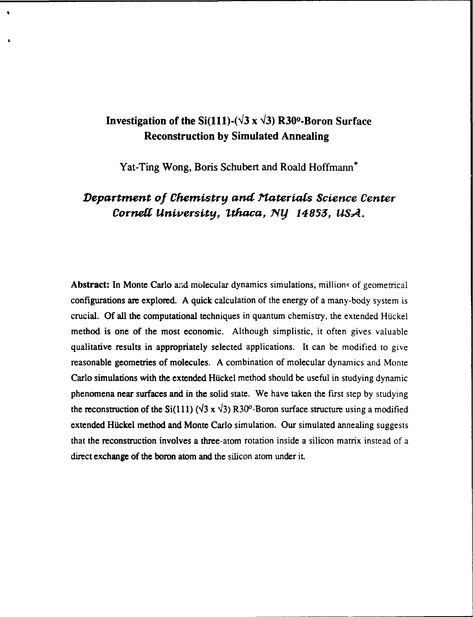# **Investigation of the Si(111)-(** $\sqrt{3}$  **x**  $\sqrt{3}$ **) R30<sup>o</sup>-Boron Surface Reconstruction by Simulated Annealing**

 $\Delta$ 

**Yat-Ting Wong, Boris Schubert and Roald Hoffmann\***

# *Department of Chemistry and Materials Science* **Center** *Cornell* **University,** *Ithaca,* **NY 14853, USA.**

Abstract: In Monte Carlo and molecular dynamics simulations, millions of geometrical configurations are explored. **A** quick calculation of the energy of a many-body system is crucial. Of all the computational techniques in quantum chemistry, the extended Hückel method is one of the most economic. Although simplistic, it often gives valuable qualitative results in appropriately selected applications. It can be modified to give reasonable geometries of molecules. **A** combination of molecular dynamics and Monte Carlo simulations with the extended Hückel method should be useful in studying dynamic phenomena near surfaces and in the solid state. We have taken the first step **by** studying the reconstruction of the Si(111) ( $\sqrt{3}$  x  $\sqrt{3}$ ) R30<sup>o</sup>-Boron surface structure using a modified extended Hückel method and Monte Carlo simulation. Our simulated annealing suggests that the reconstruction involves a three-atom rotation inside a silicon matrix instead of a direct exchange of the boron atom and the silicon atom under it.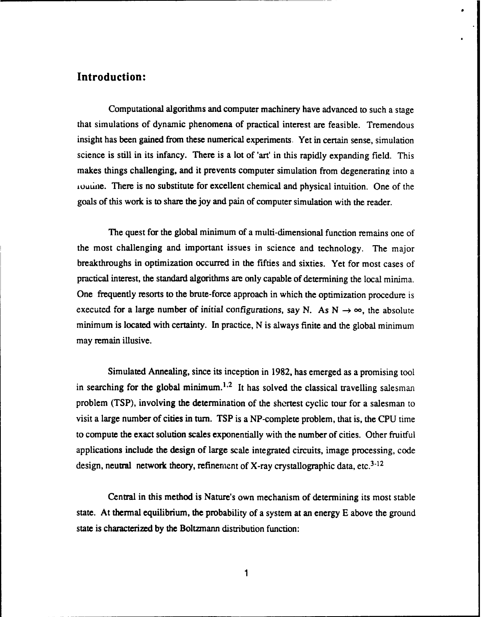### **Introduction:**

Computational algorithms and computer machinery have advanced to such a stage that simulations of dynamic phenomena of practical interest are feasible. Tremendous insight has been gained from these numerical experiments. Yet in certain sense, simulation science is still in its infancy. There is a lot of 'art' in this rapidly expanding field. This makes things challenging, and it prevents computer simulation from degenerating into a routine. There is no substitute for excellent chemical and physical intuition. One of the goals of this work is to share the joy and pain of computer simulation with the reader.

The quest for the global minimum of a multi-dimensional function remains one of the most challenging and important issues in science and technology. The major breakthroughs in optimization occurred in the fifties and sixties. Yet for most cases of practical interest, the standard algorithms are only capable of determining the local minima. One frequently resorts to the brute-force approach in which the optimization procedure is executed for a large number of initial configurations, say N. As  $N \rightarrow \infty$ , the absolute minimum is located with certainty. In practice, N is always finite and the global minimum may remain illusive.

Simulated Annealing, since its inception in 1982, has emerged as a promising tool in searching for the global minimum.<sup>1,2</sup> It has solved the classical travelling salesman problem (TSP), involving the determination of the shortest cyclic tour for a salesman to visit a large number of cities in turn. TSP is a NP-complete problem, that is, the CPU time to compute the exact solution scales exponentially with the number of cities. Other fruitful applications include the design of large scale integrated circuits, image processing, code design, neutral network theory, refinement of X-ray crystallographic data, etc.<sup>3-12</sup>

Central in this method is Nature's own mechanism of determining its most stable state. At thermal equilibrium, the probability of a system at an energy **E** above the ground state is characterized **by** the Boltzmann distribution function: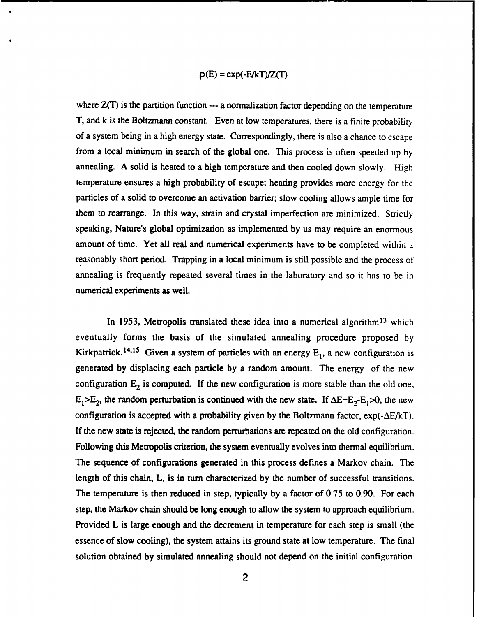$$
\rho(E) = \exp(-E/kT)/Z(T)
$$

where  $Z(T)$  is the partition function --- a normalization factor depending on the temperature T, and k is the Boltzmann constant. Even at low temperatures, there is a finite probability of a system being in a high energy state. Correspondingly, there is also a chance to escape from a local minimum in search of the global one. This process is often speeded up **by** annealing. A solid is heated to a high temperature and then cooled down slowly. High temperature ensures a high probability of escape; heating provides more energy for the particles of a solid to overcome an activation barrier, slow cooling allows ample time for them to rearrange. In this way, strain and crystal imperfection are minimized. Strictly speaking, Nature's global optimization as implemented **by** us may require an enormous amount of time. Yet all real and numerical experiments have to be completed within a reasonably short period. Trapping in a local minimum is still possible and the process of annealing is frequently repeated several times in the laboratory and so it has to be in numerical experiments as well.

In 1953, Metropolis translated these idea into a numerical algorithm<sup>13</sup> which eventually forms the basis of the simulated annealing procedure proposed **by** Kirkpatrick.<sup>14,15</sup> Given a system of particles with an energy  $E_1$ , a new configuration is generated by displacing each particle **by** a random amount. The energy of the new configuration  $E_2$  is computed. If the new configuration is more stable than the old one,  $E_1>E_2$ , the random perturbation is continued with the new state. If  $\Delta E=E_2-E_1>0$ , the new configuration is accepted with a probability given by the Boltzmann factor,  $exp(-\Delta E/kT)$ . If the new state is rejected, the random perturbations are repeated on the old configuration. Following this Metropolis criterion, the system eventually evolves into thermal equilibrium. The sequence of configurations generated in this process defines a Markov chain. The length of this chain, L, is in turn characterized **by** the number of successful transitions. The temperature is then reduced in step, typically by a factor of 0.75 to 0.90. For each step, the Markov chain should be long enough to allow the system to approach equilibrium. Provided L is large enough and the decrement in temperature for each step is small (the essence of slow cooling), the system attains its ground state at low temperature. The final solution obtained **by** simulated annealing should not depend on the initial configuration.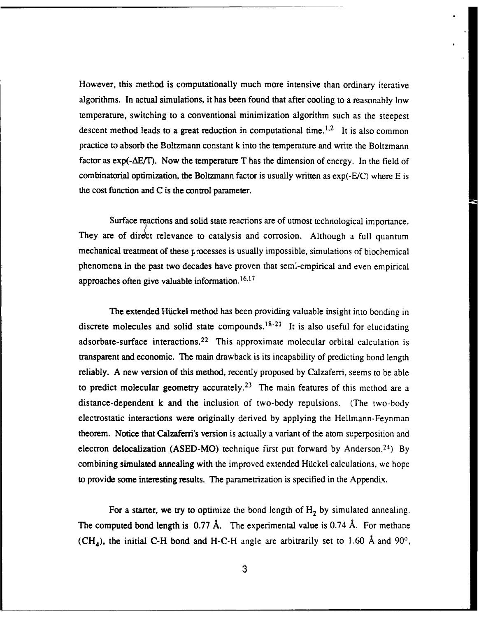However, this method is computationally much more intensive than ordinary iterative algorithms. In actual simulations, it has been found that after cooling to a reasonably low temperature, switching to a conventional minimization algorithm such as the steepest descent method leads to a great reduction in computational time.<sup>1,2</sup> It is also common practice to absorb the Boltzmann constant k into the temperature and write the Boltzmann factor as  $exp(-\Delta E/T)$ . Now the temperature T has the dimension of energy. In the field of combinatorial optimization, the Boltzmann factor is usually written as exp(-E/C) where E is the cost function and C is the control parameter.

Surface ractions and solid state reactions are of utmost technological importance. They are of direct relevance to catalysis and corrosion. Although a full quantum mechanical treatment of these processes is usually impossible, simulations of biochemical phenomena in the past two decades have proven that seml-empirical and even empirical approaches often give valuable information.<sup>16,17</sup>

The extended Hickel method has been providing valuable insight into bonding in discrete molecules and solid state compounds.  $18-21$  It is also useful for elucidating adsorbate-surface interactions.<sup>22</sup> This approximate molecular orbital calculation is transparent and economic. The main drawback is its incapability of predicting bond length reliably. A new version of this method, recently proposed **by** Calzaferri, seems to be able to predict molecular geometry accurately.<sup>23</sup> The main features of this method are a distance-dependent k and the inclusion of two-body repulsions. (The two-body electrostatic interactions were originally derived **by** applying the Hellmann-Feynman theorem. Notice that Calzaferri's version is actually a variant of the atom superposition and electron delocalization (ASED-MO) technique first put forward **by** Anderson. <sup>24</sup> ) **By** combining simulated annealing with the improved extended Hickel calculations, we hope to provide some interesting results. The parametrization is specified in the Appendix.

For a starter, we try to optimize the bond length of  $H_2$  by simulated annealing. The computed bond length is 0.77 **A.** The experimental value is 0.74 **A.** For methane (CH<sub>4</sub>), the initial C-H bond and H-C-H angle are arbitrarily set to 1.60 Å and  $90^{\circ}$ ,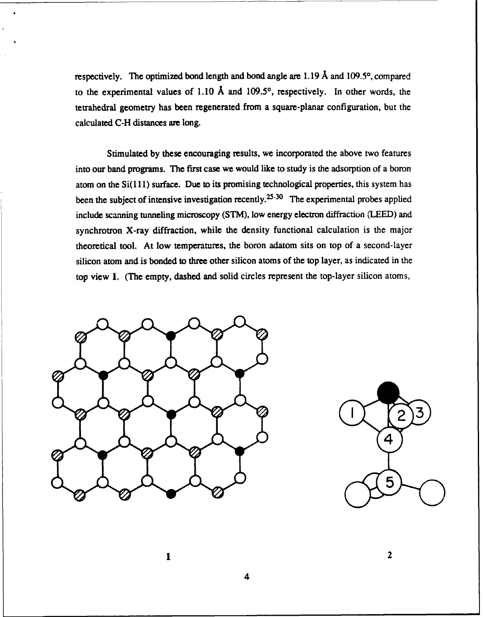respectively. The optimized bond length and bond angle are **1.19 A** and **109.50,** compared to the experimental values of **1.10 A** and **109.50,** respectively. In other words, the tetrahedral geometry has been regenerated from a square-planar configuration, but the calculated **C-H** distances are long.

Stimulated **by** these encouraging results, we incorporated the above two features into our band programs. **The** first case we would like to study is the adsorption of a boron atom on the **Si( 11)** surface. Due to its promising technological properties, this system has been the subject of intensive investigation recently.<sup>25-30</sup> The experimental probes applied include scanning tunneling microscopy (STM), low energy electron diffraction (LEED) and synchrotron X-ray diffraction, while the density functional calculation is the major theoretical tool. At low temperatures, the boron adatom sits on top of a second-layer silicon atom and is bonded to three other silicon atoms of the top layer, as indicated in the top view 1. (The empty, dashed and solid circles represent the top-layer silicon atoms,





2

4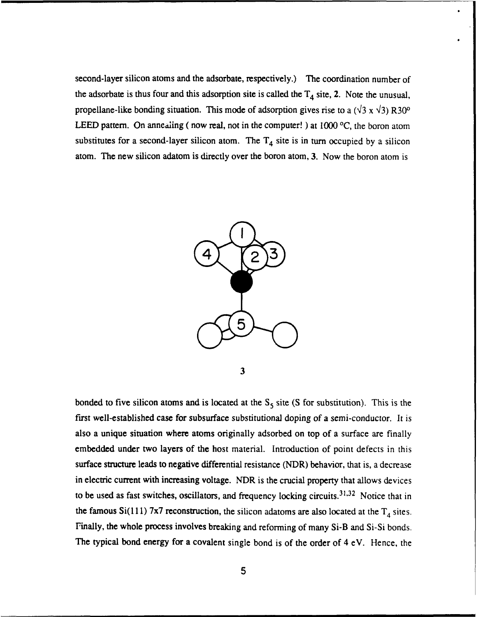second-layer silicon atoms and the adsorbate, respectively.) **The** coordination number of the adsorbate is thus four and this adsorption site is called the  $T_4$  site, 2. Note the unusual, propellane-like bonding situation. This mode of adsorption gives rise to a  $(\sqrt{3} \times \sqrt{3})$  R30<sup>o</sup> LEED pattern. On annealing (now real, not in the computer!) at 1000 °C, the boron atom substitutes for a second-layer silicon atom. The  $T<sub>4</sub>$  site is in turn occupied by a silicon atom. The new silicon adatom is directly over the boron atom, **3.** Now the boron atom is



bonded to five silicon atoms and is located at the  $S_5$  site (S for substitution). This is the first well-established case for subsurface substitutional doping of a semi-conductor. It is also a unique situation where atoms originally adsorbed on top of a surface are finally embedded under two layers of the host material. Introduction of point defects in this surface structure leads to negative differential resistance (NDR) behavior, that is, a decrease in electric current with increasing voltage. NDR is the crucial property that allows devices to be used as fast switches, oscillators, and frequency locking circuits.<sup>31,32</sup> Notice that in the famous Si(111) 7x7 reconstruction, the silicon adatoms are also located at the  $T<sub>4</sub>$  sites. Finally, the whole process involves breaking and reforming of many Si-B and Si-Si bonds. The typical bond energy for a covalent single bond is of the order of 4 eV. Hence, the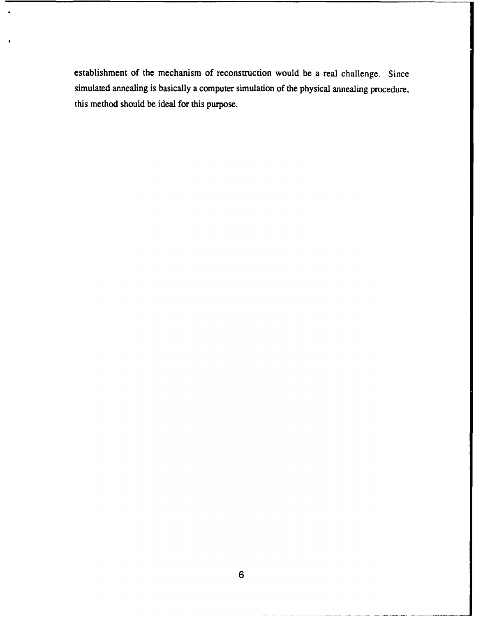establishment of the mechanism of reconstruction would be a real challenge. Since simulated annealing is basically a computer simulation of the physical annealing procedure, this method should be ideal for this purpose.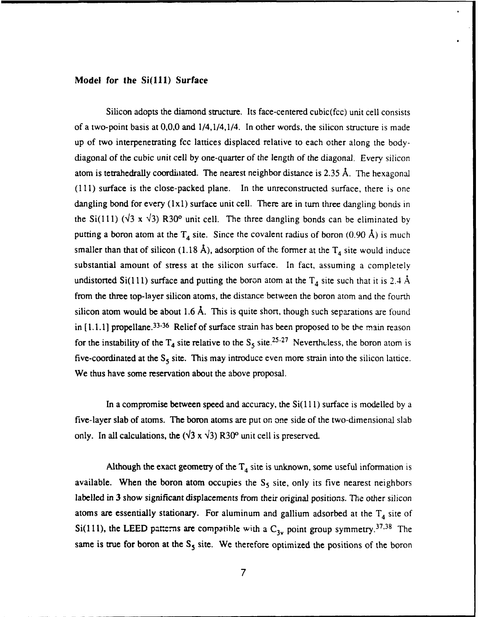#### **Model for the Si(111) Surface**

Silicon adopts the diamond structure. Its face-centered cubic(fcc) unit cell consists of a two-point basis at **0,0,0** and 1/4,1/4,1/4. In other words, the silicon structure is made up **of** two interpenetrating fcc lattices displaced relative to each other along the bodydiagonal of the cubic unit cell **by** one-quarter of the length of the diagonal. Every silicon atom is tetrahedrally coordiiated. The nearest neighbor distance is **2.35 A.** The hexagonal **(111)** surface is the close-packed plane. In the unreconstructed surface, there **is** one dangling bond for every **(lxl)** surface unit cell. There are in turn three dangling bonds in the Si(111)  $(\sqrt{3} \times \sqrt{3})$  R30<sup>o</sup> unit cell. The three dangling bonds can be eliminated by putting a boron atom at the  $T_4$  site. Since the covalent radius of boron (0.90 Å) is much smaller than that of silicon (1.18 Å), adsorption of the former at the  $T<sub>4</sub>$  site would induce substantial amount of stress at the silicon surface. In fact, assuming a completely undistorted Si(111) surface and putting the boron atom at the  $T_4$  site such that it is 2.4 Å from the three top-layer silicon atoms, the distance between the boron atom and the fourth silicon atom would be about 1.6 **A.** This is quite short, though such separations are found in [1.1.1] propellane.<sup>33-36</sup> Relief of surface strain has been proposed to be the main reason for the instability of the  $T_4$  site relative to the  $S_5$  site.<sup>25-27</sup> Nevertheless, the boron atom is five-coordinated at the  $S_5$  site. This may introduce even more strain into the silicon lattice. We thus have some reservation about the above proposal.

In a compromise between speed and accuracy, the Si( **11)** surface is modelled **by** a five-layer slab of atoms. The boron atoms are put on one side of the two-dimensional slab only. In all calculations, the  $(\sqrt{3} \times \sqrt{3})$  R30<sup>o</sup> unit cell is preserved.

Although the exact geometry of the  $T_4$  site is unknown, some useful information is available. When the boron atom occupies the  $S_5$  site, only its five nearest neighbors labelled in **3** show significant displacements from their original positions. The other silicon atoms are essentially stationary. For aluminum and gallium adsorbed at the  $T<sub>4</sub>$  site of Si(111), the LEED patterns are compatible with a  $C_{3v}$  point group symmetry.<sup>37,38</sup> The same is true for boron at the S<sub>5</sub> site. We therefore optimized the positions of the boron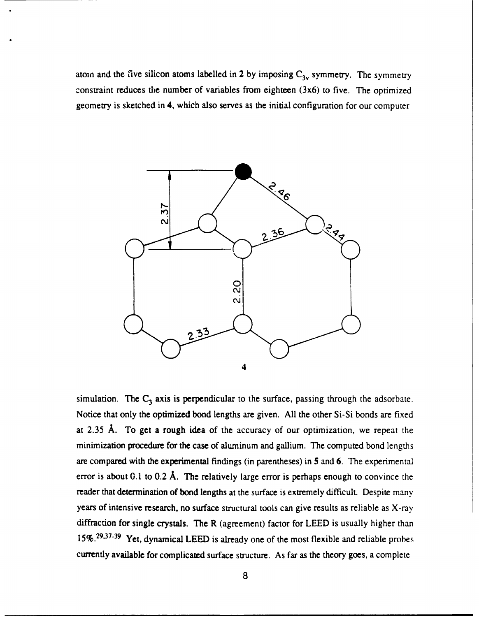atom and the five silicon atoms labelled in 2 by imposing  $C_{3v}$  symmetry. The symmetry constraint reduces the number of variables from eighteen  $(3x6)$  to five. The optimized geometry is sketched in 4, which also serves as the initial configuration for our computer



simulation. The C<sub>3</sub> axis is perpendicular to the surface, passing through the adsorbate. Notice that only the optimized bond lengths are given. All the other Si-Si bonds are fixed at 2.35 **A.** To get a rough idea of the accuracy of our optimization, we repeat the minimization procedure for the case of aluminum and gallium. The computed bond lengths are compared with the experimental findings (in parentheses) in **5** and 6. The experimental error is about **0.1** to 0.2 **A.** The relatively large error is perhaps enough to convince the reader that determination of bond lengths at the surface is extremely difficult. Despite many years of intensive research, no surface structural tools can give results as reliable as X-ray diffraction for single crystals. The R (agreement) factor for LEED is usually higher than 15%.<sup>29,37-39</sup> Yet, dynamical LEED is already one of the most flexible and reliable probes currently available for complicated surface structure. As far as the theory goes, a complete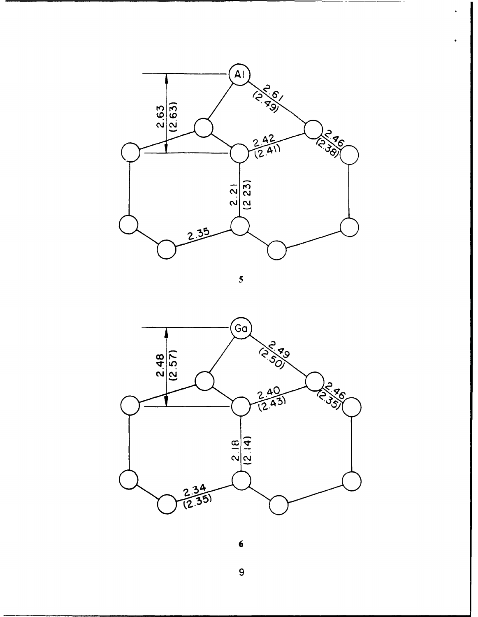

*5*



**6**

**9**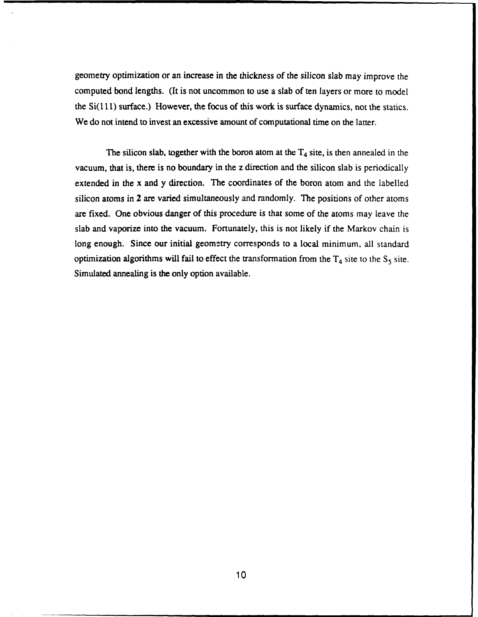geometry optimization or an increase in the thickness of the silicon slab may improve the computed bond lengths. (It is not uncommon to use a slab of ten layers or more to model the Si(l **11)** surface.) However, the focus of this work is surface dynamics, not the statics. We do not intend to invest an excessive amount of computational time on the latter.

The silicon slab, together with the boron atom at the  $T_4$  site, is then annealed in the vacuum, that is, there is no boundary in the z direction and the silicon slab is periodically extended in the x and y direction. The coordinates of the boron atom and the labelled silicon atoms in 2 are varied simultaneously and randomly. The positions of other atoms are fixed. One obvious danger of this procedure is that some of the atoms may leave the slab and vaporize into the vacuum. Fortunately, this is not likely if the Markov chain is long enough. Since our initial geometry corresponds to a local minimum, all standard optimization algorithms will fail to effect the transformation from the  $T_4$  site to the  $S_5$  site. Simulated annealing is the only option available.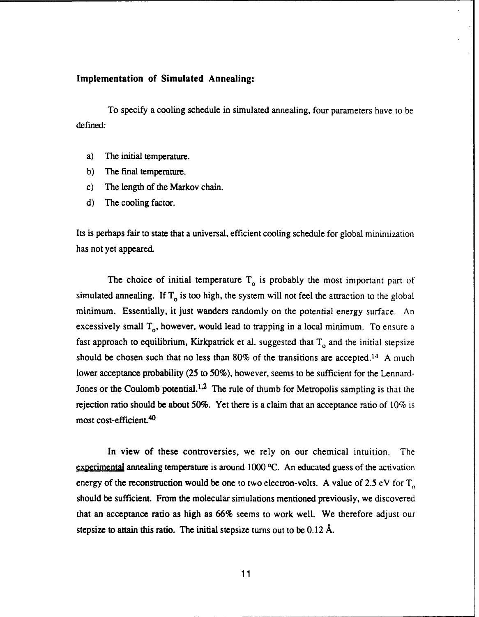#### **Implementation of Simulated Annealing:**

To specify a cooling schedule in simulated annealing, four parameters have to be defined:

- a) The initial temperature.
- b) The final temperature.
- c) The length of the Markov chain.
- d) The cooling factor.

Its is perhaps fair to state that a universal, efficient cooling schedule for global minimization has not yet appeared.

The choice of initial temperature  $T<sub>o</sub>$  is probably the most important part of simulated annealing. If  $T_0$  is too high, the system will not feel the attraction to the global minimum. Essentially, it just wanders randomly on the potential energy surface. An excessively small  $T_{0}$ , however, would lead to trapping in a local minimum. To ensure a fast approach to equilibrium, Kirkpatrick et al. suggested that  $T_0$  and the initial stepsize should be chosen such that no less than 80% of the transitions are accepted.<sup>14</sup> A much lower acceptance probability (25 to 50%), however, seems to be sufficient for the Lennard-Jones or the Coulomb potential.<sup>1,2</sup> The rule of thumb for Metropolis sampling is that the rejection ratio should be about 50%. Yet there is a claim that an acceptance ratio of 10% is most cost-efficient. 40

In view of these controversies, we rely on our chemical intuition. The experimental annealing temperature is around 1000 °C. An educated guess of the activation energy of the reconstruction would be one to two electron-volts. A value of 2.5 eV for  $T_{o}$ should be sufficient. From the molecular simulations mentioned previously, we discovered that an acceptance ratio as high as 66% seems to work well. We therefore adjust our stepsize to attain this ratio. The initial stepsize turns out to be 0.12 **A.**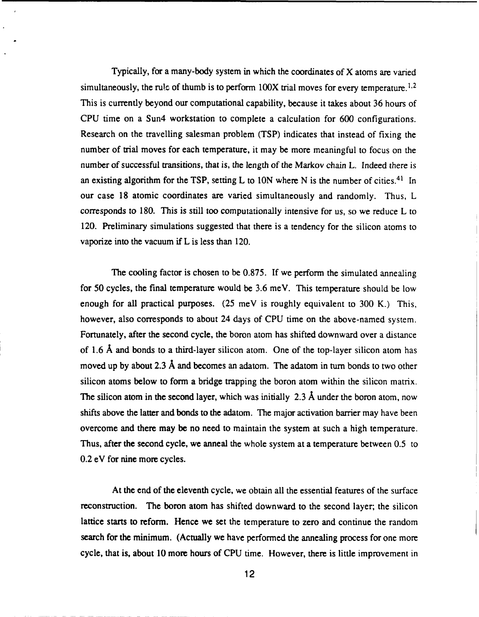Typically, for a many-body system in which the coordinates of X atoms are varied simultaneously, the rule of thumb is to perform  $100X$  trial moves for every temperature.<sup>1,2</sup> This is currently beyond our computational capability, because it takes about 36 hours of CPU time on a Sun4 workstation to complete a calculation for 600 configurations. Research on the travelling salesman problem (TSP) indicates that instead of fixing the number of trial moves for each temperature, it may be more meaningful to focus on the number of successful transitions, that is, the length of the Markov chain L. Indeed there is an existing algorithm for the TSP, setting L to **ION** where N is the number of cities. 41 In our case 18 atomic coordinates are varied simultaneously and randomly. Thus, L corresponds to 180. This is still too computationally intensive for us, so we reduce L to 120. Preliminary simulations suggested that there is a tendency for the silicon atoms to vaporize into the vacuum if L is less than 120.

The cooling factor is chosen to be 0.875. If we perform the simulated annealing for 50 cycles, the final temperature would be 3.6 meV. This temperature should be low enough for all practical purposes. (25 meV is roughly equivalent to 300 K.) This, however, also corresponds to about 24 days of CPU time on the above-named system. Fortunately, after the second cycle, the boron atom has shifted downward over a distance of 1.6 **A** and bonds to a third-layer silicon atom. One of the top-layer silicon atom has moved up by about 2.3 **A** and becomes an adatom. The adatom in turn bonds to two other silicon atoms below to form a bridge trapping the boron atom within the silicon matrix. The silicon atom in the second layer, which was initially 2.3 **A** under the boron atom, now shifts above the latter and bonds to the adatom. The major activation barrier may have been overcome and there may be no need to maintain the system at such a high temperature. Thus, after the second cycle, we anneal the whole system at a temperature between 0.5 to 0.2 eV for nine more cycles.

At the end of the eleventh cycle, we obtain all the essential features of the surface reconstruction. The boron atom has shifted downward to the second layer; the silicon lattice starts to reform. Hence we set the temperature to zero and continue the random search for the minimum. (Actually we have performed the annealing process for one more cycle, that is, about 10 more hours of CPU time. However, there is little improvement in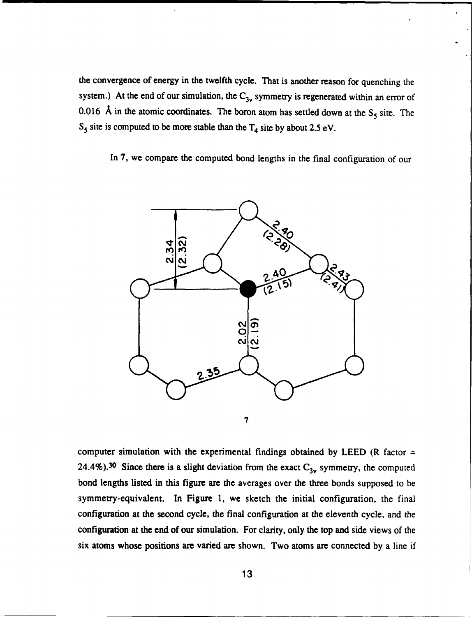the convergence of energy in the twelfth cycle. That is another reason for quenching the system.) At the end of our simulation, the C<sub>3v</sub> symmetry is regenerated within an error of 0.016 Å in the atomic coordinates. The boron atom has settled down at the  $S_5$  site. The  $S_5$  site is computed to be more stable than the  $T_4$  site by about 2.5 eV.

In **7,** we compare the computed bond lengths in the final configuration of our



computer simulation with the experimental findings obtained by LEED (R factor = 24.4%).<sup>30</sup> Since there is a slight deviation from the exact C<sub>3v</sub> symmetry, the computed bond lengths listed in this **figure** are the averages **over** the three bonds supposed to be symmetry-equivalent. **In** Figure *1,* we sketch **the** initial configuration, the final **configuration at** the second **cycle, the final configuration at the eleventh cycle, and** the **configuration at the end of our simulation.** *For* **clarity, only** the **top and side views of** the **six atoms whose positions are varied are shown. Two atoms are connected by a line if**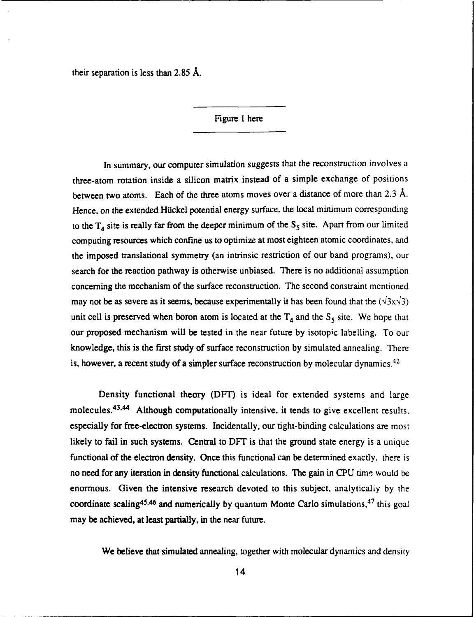their separation is less than 2.85  $\AA$ .

Figure 1 here

In summary, our computer simulation suggests that the reconstruction involves a three-atom rotation inside a silicon matrix instead of a simple exchange of positions between two atoms. Each of the three atoms moves over a distance of more than **2.3 A.** Hence, on the extended Hückel potential energy surface, the local minimum corresponding to the  $T_4$  site is really far from the deeper minimum of the  $S_5$  site. Apart from our limited computing resources which confine us to optimize at most eighteen atomic coordinates, and the imposed translational symmetry (an intrinsic restriction of our band programs), our search for the reaction pathway is otherwise unbiased. There is no additional assumption concerning the mechanism of the surface reconstruction. The second constraint mentioned may not be as severe as it seems, because experimentally it has been found that the  $(\sqrt{3}x\sqrt{3})$ unit cell is preserved when boron atom is located at the  $T_4$  and the  $S_5$  site. We hope that our proposed mechanism will be tested in the near future **by** isotopic labelling. To our knowledge, this is the first study of surface reconstruction **by** simulated annealing. There is, however, a recent study of a simpler surface reconstruction by molecular dynamics.<sup>42</sup>

Density functional theory (DFT) is ideal for extended systems and large molecules.<sup>43,44</sup> Although computationally intensive, it tends to give excellent results, especially for free-electron systems. Incidentally, our tight-binding calculations are most likely to fail in such systems. Central to DFT is that the ground state energy is a unique functional of the electron density. Once this functional can be determined exactly. there is no need for any iteration in density functional calculations. The gain in CPU time would be enormous. Given the intensive research devoted to this subject, analytically by the coordinate scaling<sup>45,46</sup> and numerically by quantum Monte Carlo simulations,  $47$  this goal may be achieved, at least partially, in the near future.

We believe that simulated annealing, together with molecular dynamics and density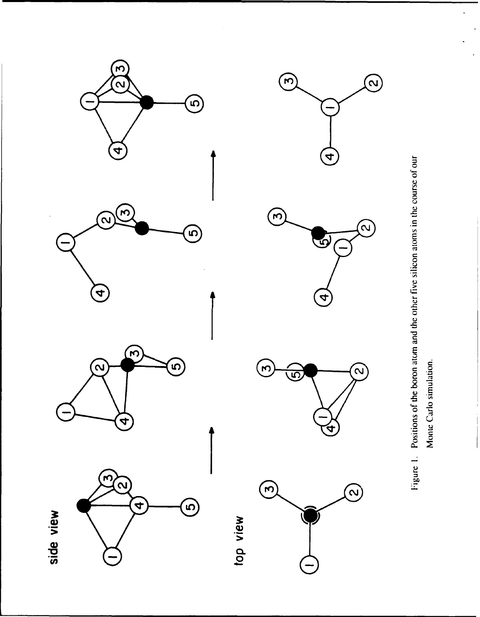













 $\ddot{\phantom{a}}$ 

 $\ddot{\phantom{a}}$ 

Monte Carlo simulation.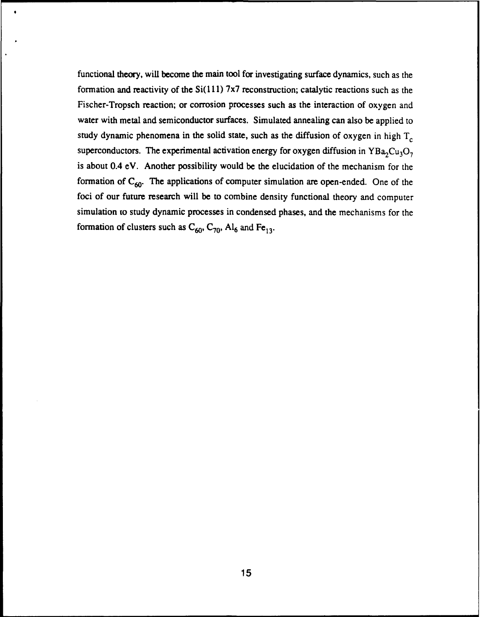functional theory, will become the main tool for investigating surface dynamics, such as the formation and reactivity of the  $Si(111)$  7x7 reconstruction; catalytic reactions such as the Fischer-Tropsch reaction; or corrosion processes such as the interaction of oxygen and water with metal and semiconductor surfaces. Simulated annealing can also be applied to study dynamic phenomena in the solid state, such as the diffusion of oxygen in high T<sub>c</sub> superconductors. The experimental activation energy for oxygen diffusion in  $YBa<sub>2</sub>Cu<sub>3</sub>O<sub>7</sub>$ is about 0.4 eV. Another possibility would be the elucidation of the mechanism for the formation of C<sub>60</sub>. The applications of computer simulation are open-ended. One of the foci of our future research will be to combine density functional theory and computer simulation to study dynamic processes in condensed phases, and the mechanisms for the formation of clusters such as  $C_{60}$ ,  $C_{70}$ , Al<sub>6</sub> and Fe<sub>13</sub>.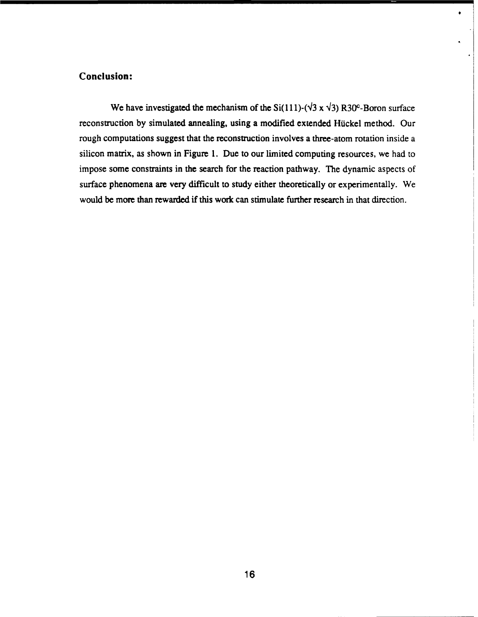### **Conclusion:**

We have investigated the mechanism of the Si(111)-( $\sqrt{3}$  x  $\sqrt{3}$ ) R30<sup>c</sup>-Boron surface reconstruction by simulated annealing, using a modified extended Hückel method. Our rough computations suggest that the reconstruction involves a three-atom rotation inside a silicon matrix, as shown in Figure 1. Due to our limited computing resources, we had to impose some constraints in the search for the reaction pathway. The dynamic aspects of surface phenomena are very difficult to study either theoretically or experimentally. We would be more than rewarded if this work can stimulate further research in that direction.

 $\bullet$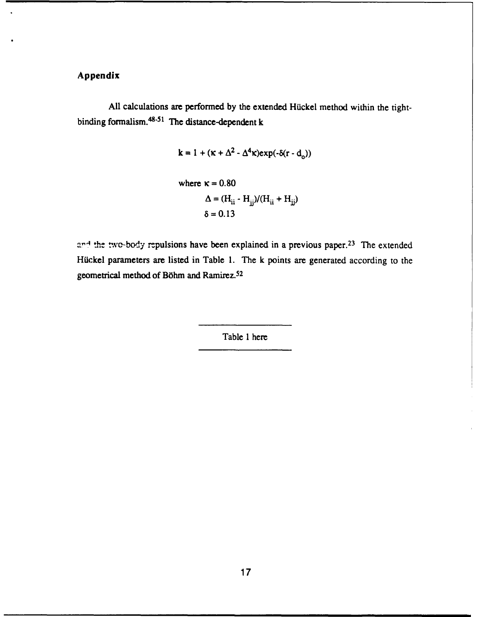## Appendix

**All** calculations are performed **by** the extended Hiuckel method within the tightbinding formalism. 48-51 **The** distance-dependent k

$$
\mathbf{k} = 1 + (\kappa + \Delta^2 - \Delta^4 \kappa) \exp(-\delta(\mathbf{r} - \mathbf{d}_o))
$$
  
where  $\kappa = 0.80$   

$$
\Delta = (\mathbf{H}_{ii} - \mathbf{H}_{jj}) / (\mathbf{H}_{ii} + \mathbf{H}_{jj})
$$
  

$$
\delta = 0.13
$$

and the two-body repulsions have been explained in a previous paper.<sup>23</sup> The extended Hickel parameters are listed in Table 1. The k points are generated according to the geometrical method of Böhm and Ramirez.<sup>52</sup>

Table **1** here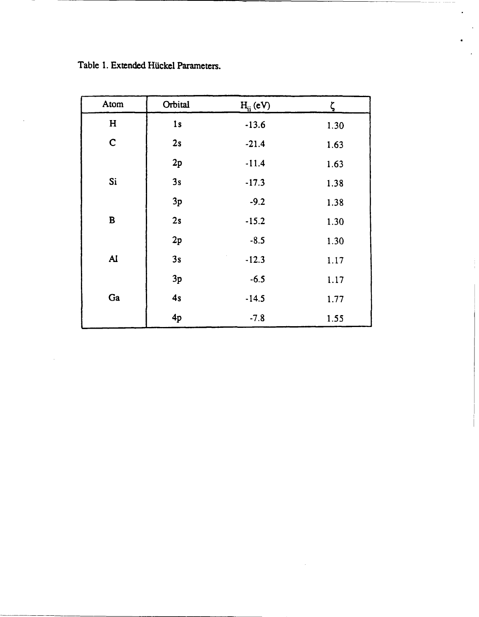$\hat{\boldsymbol{\beta}}$ 

 $\sim$ 

| Atom         | Orbital | $H_{ii}$ (eV) | ζ    |
|--------------|---------|---------------|------|
| $\mathbf H$  | 1s      | $-13.6$       | 1.30 |
| $\mathsf C$  | 2s      | $-21.4$       | 1.63 |
|              | 2p      | $-11.4$       | 1.63 |
| Si           | 3s      | $-17.3$       | 1.38 |
|              | 3p      | $-9.2$        | 1.38 |
| $\, {\bf B}$ | 2s      | $-15.2$       | 1.30 |
|              | 2p      | $-8.5$        | 1.30 |
| $\mathbf{A}$ | 3s      | $-12.3$       | 1.17 |
|              | 3p      | $-6.5$        | 1.17 |
| Ga           | 4s      | $-14.5$       | 1.77 |
|              | 4p      | $-7.8$        | 1.55 |

 $\label{eq:2.1} \frac{1}{\sqrt{2}}\left(\frac{1}{\sqrt{2}}\right)^{2} \left(\frac{1}{\sqrt{2}}\right)^{2} \left(\frac{1}{\sqrt{2}}\right)^{2} \left(\frac{1}{\sqrt{2}}\right)^{2}$ 

 $\hat{\mathbf{z}}$ 

 $\mathbb{R}^2$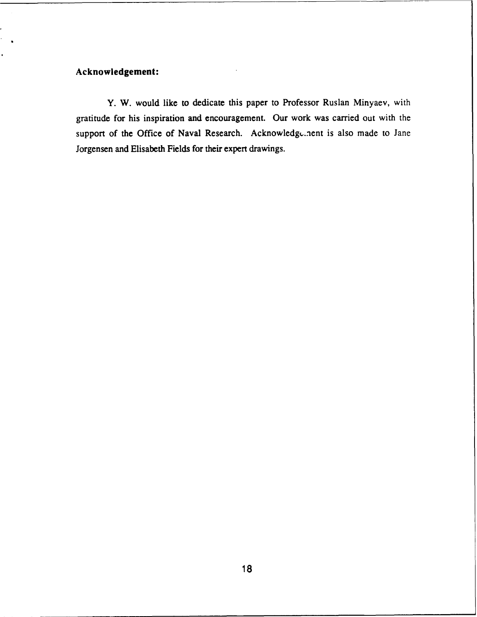## **Acknowledgement:**

**Y.** W. would like to dedicate this paper to Professor Ruslan Minyaev, with gratitude for his inspiration and encouragement. Our work was carried out with the support of the Office of Naval Research. Acknowledgement is also made to Jane Jorgensen and Elisabeth Fields for their expert drawings.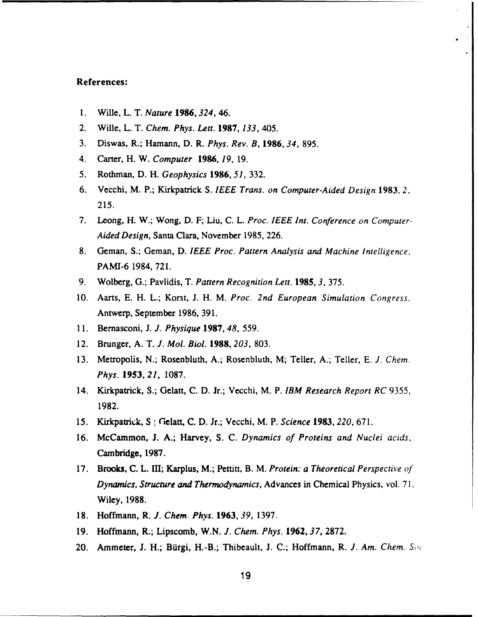#### **References:**

- **1.** Wille, L. T. *Nature 1986,324,* 46.
- 2. Wille, L. T. *Chem. Phys. Lett.* **1987,** *133,* 405.
- **3.** Diswas, R.; Hamann, **D.** R. *Phys. Rev. B,* **1986,34, 895.**
- 4. Carter, H. W. *Computer* **1986,** *19,* **19.**
- **5.** Rothman, **D.** H. *Geophysics* **1986,** *51,* **332.**
- 6. Vecchi, M. P.; Kirkpatrick **S.** *IEEE Trans. on Computer-Aided Design* **1983,** *2,* **215.**
- **7.** Leong, H. W.; Wong, **D.** F; Liu, **C.** L. *Proc. IEEE Int. Conference on Computer-Aided Design,* Santa Clara, November **1985, 226.**
- **8.** Geman, **S.;** Geman, **D.** *IEEE Proc. Pattern Analysis and Machine Intelligence,* PAMI-6 **1984, 721.**
- **9.** Wolberg, **G.;** Pavlidis, T. *Pattern Recognition Lett.* **1985,** *3,* **375.**
- **10.** Aarts, **E.** H. L.; Korst, **J.** H. M. *Proc. 2nd European Simulation Congress,* Antwerp, September 1986, 391.
- 11. Bernasconi, J. *J. Physique* 1987, *48,* 559.
- 12. Brunger, A. T. *J. Mol. Biol.* 1988, *203,* 803.
- 13. Metropolis, N.; Rosenbluth, A.; Rosenbluth, M; Teller, A.; Teller, E. *J. Chem. Phys. 1953, 21,* 1087.
- 14. Kirkpatrick, S.; Gelatt, C. D. Jr.; Vecchi, M. P. *IBM Research Report RC* 9355, 1982.
- 15. Kirkpatrick, **S**  Gelatt, C. D. Jr.; Vecchi, M. P. *Science* **1983,** *220,* 671.
- 16. McCammon, J. A.; Harvey, S. C. *Dynamics of Proteins and Nuclei acids,* Cambridge, **1987.**
- **17.** Brooks, **C.** L. Il; Karplus, M.; Pettitt, B. M. *Protein: a Theoretical Perspective of Dynamics, Structure and Thermodynamics,* Advances in Chemical Physics, vol. **71,** Wiley, 1988.
- 18. Hoffmann, R. *J. Chem. Phys.* **1963,** *39,* 1397.
- **19.** Hoffmann, R.; Lipscomb, W.N. *J. Chem. Phys.* 1962,37, 2872.
- 20. Ammeter, J. H.; Bürgi, H.-B.; Thibeault, J. C.; Hoffmann, R. *J. Am. Chem. Soc*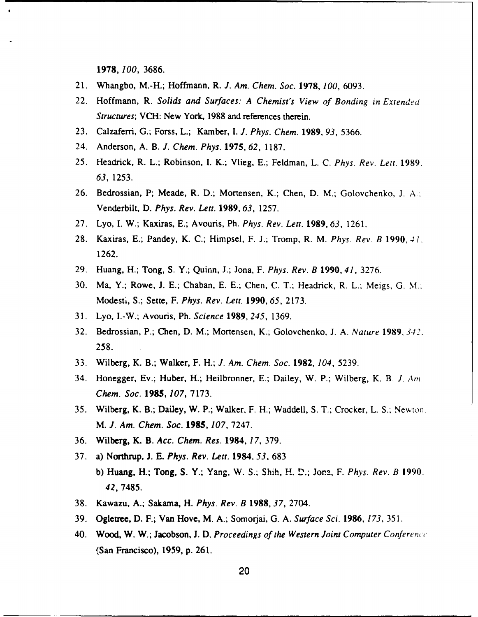**1978,** *100,* 3686.

- 21. Whangbo, M.-H.; Hoffmann, R. *J. Am. Chem. Soc.* **1978,** *100,* 6093.
- 22. Hoffmann, R. *Solids and Surfaces: A Chemist's View of Bonding in Extended Structures;* VCH: New York, 1988 and references therein.
- 23. Calzaferri, G.; Forss, L.; Kamber, *I. J. Phys. Chem.* **1989,** *93,* 5366.
- 24. Anderson, A. B. *J. Chem. Phys.* 1975, *62,* 1187.
- 25. Headrick, R. L.; Robinson, I. K.; Vlieg, E.; Feldman, L. C. *Phys. Rev. Lett.* 1989. *63,* 1253.
- 26. Bedrossian, P; Meade, R. D.; Mortensen, K.; Chen, D. M.; Golovchenko, J. **A..** Venderbilt, D. *Phys. Rev. Lett.* **1989,** *63,* 1257.
- 27. Lyo, I. W.; Kaxiras, E.; Avouris, Ph. *Phys. Rev. Lett.* 1989, *63,* 1261.
- 28. Kaxiras, E.; Pandey, K. C.; Himpsel, F. J.; Tromp, R. M. *Phys. Rev. B* 1990, 4 **1,** 1262.
- 29. Huang, H.; Tong, S. Y.; Quinn, J.; Jona, F. *Phys. Rev. B* **1990,** *41,* 3276.
- 30. Ma, Y.; Rowe, J. E.; Chaban, E. E.; Chen, C. T.; Headrick, R. L.; Meigs, G. **%l.:** Modesti, S.; Sette, F. *Phys. Rev. Lett.* 1990, *65,* 2173.
- 31. Lyo, I.-W.; Avouris, Ph. *Science* **1989,** *245,* 1369.
- 32. Bedrossian, P.; Chen, D. M.; Mortensen, K.; Golovchenko, J. A. *Nature* 1989, *342.* 258.
- 33. Wilberg, K. B.; Walker, F. H.; *J. Am. Chem. Soc.* 1982, *104,* 5239.
- 34. Honegger, Ev.; Huber, H.; Heilbronner, E.; Dailey, W. P.; Wilberg, K. B. *J. Am. Chem. Soc.* **1985,** *107,* 7173.
- 35. Wilberg, K. B.; Dailey, W. P.; Walker, F. H.; Waddell, S. T.; Crocker, L. S.; New-ton. M. *J. Am. Chem. Soc.* **1985,** *107,* 7247.
- 36. Wilberg, K. B. *Acc. Chem. Res.* **1984,** *17,* 379.
- 37. a) Northrup, J. E. *Phys. Rev. Lett.* 1984, *53,* 683 b) Huang, H.; Tong, S. Y.; Yang, W. S.; Shih, H. **D.;** Jor.a, F. *Phys. Rev. B* 1990. *42,* 7485.
- 38. Kawazu, A.; Sakama, H. *Phys.* Rev. B **1988,** *37,* 2704.
- 39. Ogletree, D. F.; Van Hove, M. A.; Somorjai, G. A. *Surface Sci.* **1986,** *173, 351.*
- 40. Wood, W. W.; Jacobson, J. D. *Proceedings of the Western Joint* Computer Conferencc (San Francisco), 1959, p. 261.